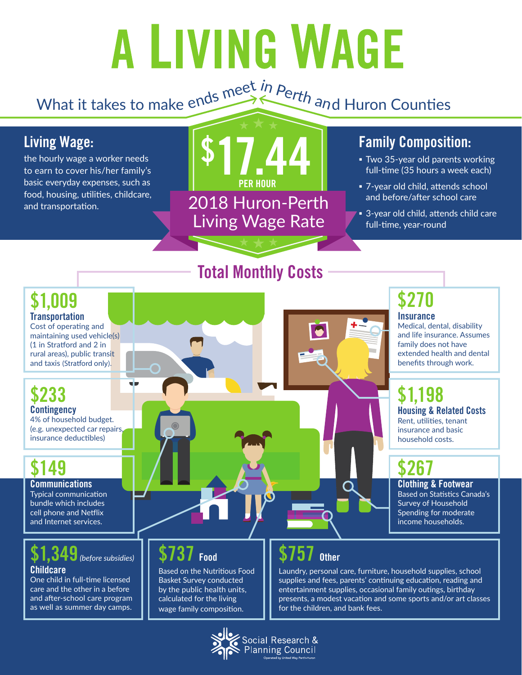# A LIVING WAGE

## What it takes to make ends meet *in Perth and* Huron Counties

#### **Living Wage:**

**\$1,009 Transportation** Cost of operating and maintaining used vehicle(s) (1 in Stratford and 2 in rural areas), public transit and taxis (Stratford only).

**\$149**

**\$233 Contingency**

**Communications** Typical communication bundle which includes cell phone and Netflix and Internet services.

4% of household budget. (e.g. unexpected car repairs, insurance deductibles)

the hourly wage a worker needs to earn to cover his/her family's basic everyday expenses, such as food, housing, utilities, childcare, and transportation.



**Total Monthly Costs**

#### **Family Composition:**

- **Two 35-year old parents working** full-time (35 hours a week each)
- 7-year old child, attends school and before/after school care
- **B** 3-year old child, attends child care full-time, year-round

vi n

## **\$270**

**Insurance**

Medical, dental, disability and life insurance. Assumes family does not have extended health and dental benefits through work.

## **\$1,198**

**Housing & Related Costs** Rent, utilities, tenant insurance and basic household costs.

## **\$267**

**Clothing & Footwear** Based on Statistics Canada's Survey of Household Spending for moderate income households.

## **\$1,349***(before subsidies)*

**Childcare** One child in full-time licensed care and the other in a before and after-school care program as well as summer day camps.

#### **\$737 Food**

Based on the Nutritious Food Basket Survey conducted by the public health units, calculated for the living wage family composition.

#### **Other**

Laundry, personal care, furniture, household supplies, school supplies and fees, parents' continuing education, reading and entertainment supplies, occasional family outings, birthday presents, a modest vacation and some sports and/or art classes for the children, and bank fees.



ocial Research &<br>Planning Council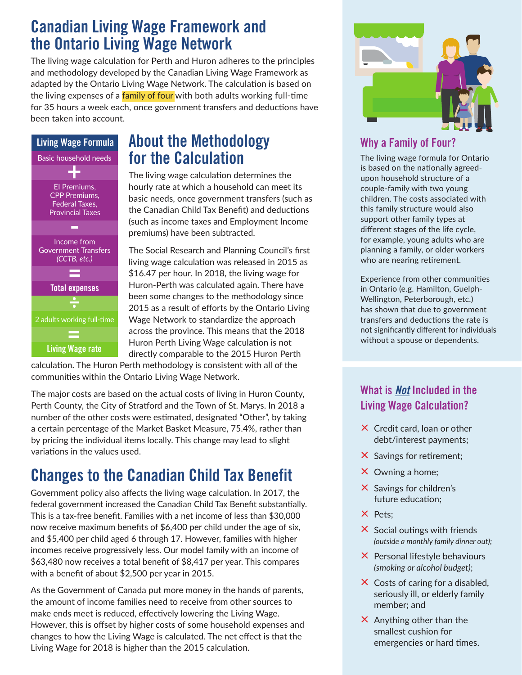#### **Canadian Living Wage Framework and the Ontario Living Wage Network**

The living wage calculation for Perth and Huron adheres to the principles and methodology developed by the Canadian Living Wage Framework as adapted by the Ontario Living Wage Network. The calculation is based on the living expenses of a family of four with both adults working full-time for 35 hours a week each, once government transfers and deductions have been taken into account.



#### **About the Methodology for the Calculation**

The living wage calculation determines the hourly rate at which a household can meet its basic needs, once government transfers (such as the Canadian Child Tax Benefit) and deductions (such as income taxes and Employment Income premiums) have been subtracted.

The Social Research and Planning Council's first living wage calculation was released in 2015 as \$16.47 per hour. In 2018, the living wage for Huron-Perth was calculated again. There have been some changes to the methodology since 2015 as a result of efforts by the Ontario Living Wage Network to standardize the approach across the province. This means that the 2018 Huron Perth Living Wage calculation is not directly comparable to the 2015 Huron Perth

calculation. The Huron Perth methodology is consistent with all of the communities within the Ontario Living Wage Network.

The major costs are based on the actual costs of living in Huron County, Perth County, the City of Stratford and the Town of St. Marys. In 2018 a number of the other costs were estimated, designated "Other", by taking a certain percentage of the Market Basket Measure, 75.4%, rather than by pricing the individual items locally. This change may lead to slight variations in the values used.

#### **Changes to the Canadian Child Tax Benefit**

Government policy also affects the living wage calculation. In 2017, the federal government increased the Canadian Child Tax Benefit substantially. This is a tax-free benefit. Families with a net income of less than \$30,000 now receive maximum benefits of \$6,400 per child under the age of six, and \$5,400 per child aged 6 through 17. However, families with higher incomes receive progressively less. Our model family with an income of \$63,480 now receives a total benefit of \$8,417 per year. This compares with a benefit of about \$2,500 per year in 2015.

As the Government of Canada put more money in the hands of parents, the amount of income families need to receive from other sources to make ends meet is reduced, effectively lowering the Living Wage. However, this is offset by higher costs of some household expenses and changes to how the Living Wage is calculated. The net effect is that the Living Wage for 2018 is higher than the 2015 calculation.



#### **Why a Family of Four?**

The living wage formula for Ontario is based on the nationally agreedupon household structure of a couple-family with two young children. The costs associated with this family structure would also support other family types at different stages of the life cycle, for example, young adults who are planning a family, or older workers who are nearing retirement.

Experience from other communities in Ontario (e.g. Hamilton, Guelph-Wellington, Peterborough, etc.) has shown that due to government transfers and deductions the rate is not significantly different for individuals without a spouse or dependents.

#### **What is** *Not* **Included in the Living Wage Calculation?**

- $\times$  Credit card, loan or other debt/interest payments;
- × Savings for retirement;
- × Owning a home;
- $\times$  Savings for children's future education;
- × Pets;
- $\times$  Social outings with friends *(outside a monthly family dinner out);*
- $\times$  Personal lifestyle behaviours *(smoking or alcohol budget)*;
- $\times$  Costs of caring for a disabled, seriously ill, or elderly family member; and
- $\times$  Anything other than the smallest cushion for emergencies or hard times.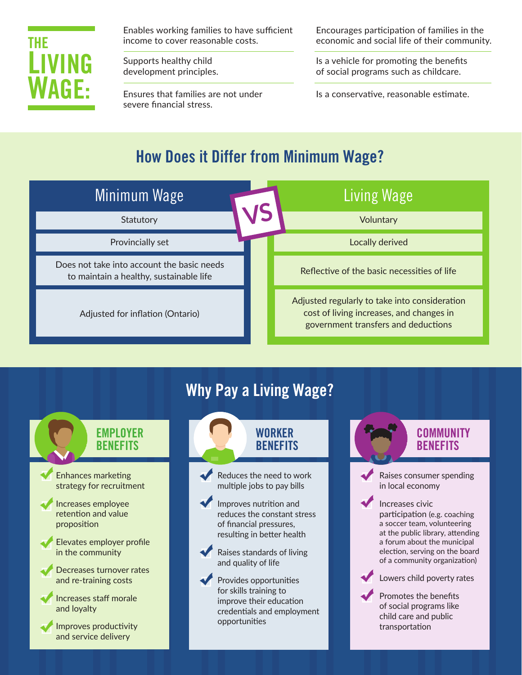

Enables working families to have sufficient income to cover reasonable costs.

Supports healthy child development principles.

Ensures that families are not under severe financial stress.

Encourages participation of families in the economic and social life of their community.

Is a vehicle for promoting the benefits of social programs such as childcare.

Is a conservative, reasonable estimate.

### **How Does it Differ from Minimum Wage?**